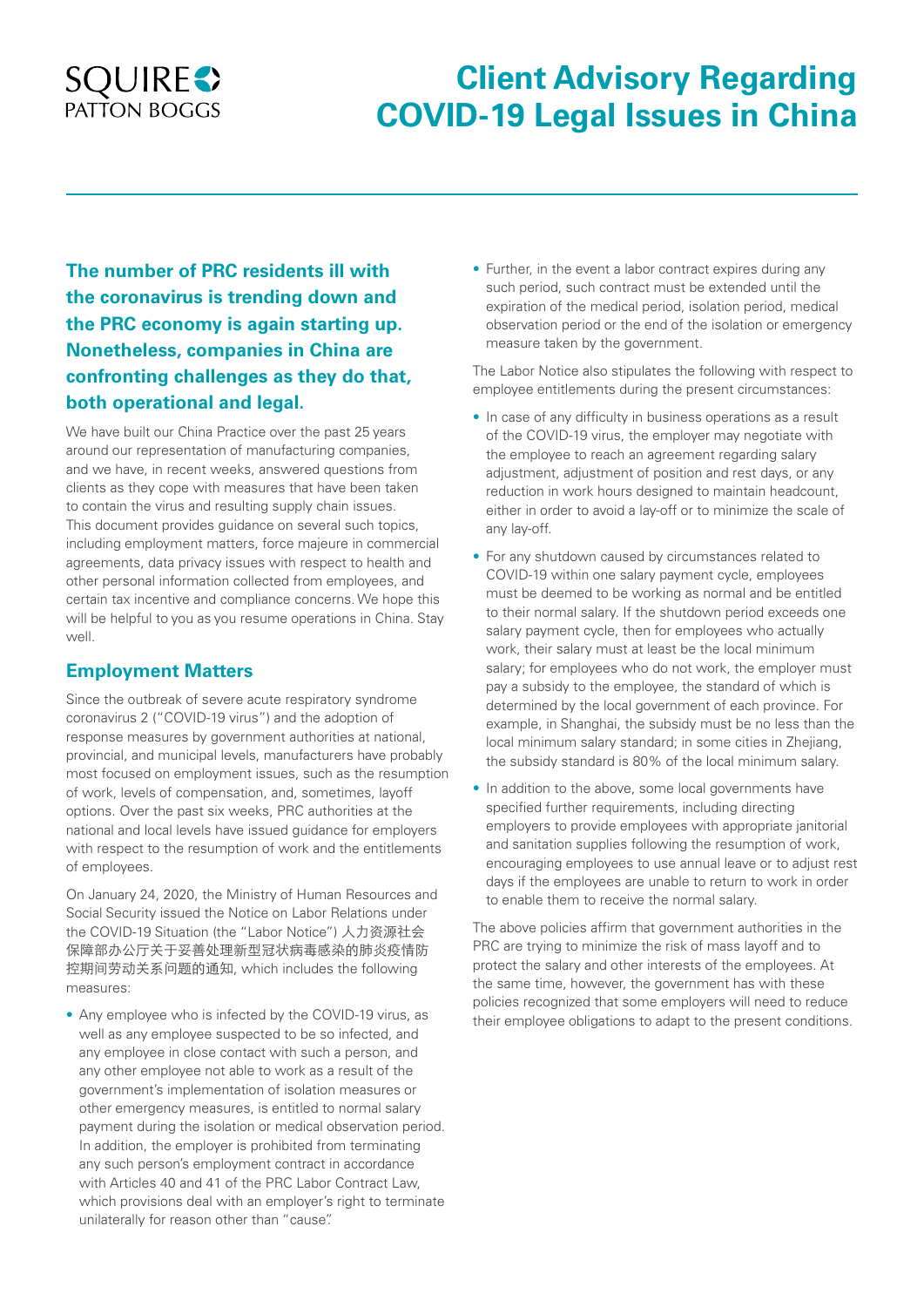## **SQUIRES** PATTON BOGGS

# **Client Advisory Regarding COVID-19 Legal Issues in China**

**The number of PRC residents ill with the coronavirus is trending down and the PRC economy is again starting up. Nonetheless, companies in China are confronting challenges as they do that, both operational and legal.**

We have built our China Practice over the past 25 years around our representation of manufacturing companies, and we have, in recent weeks, answered questions from clients as they cope with measures that have been taken to contain the virus and resulting supply chain issues. This document provides guidance on several such topics, including employment matters, force majeure in commercial agreements, data privacy issues with respect to health and other personal information collected from employees, and certain tax incentive and compliance concerns. We hope this will be helpful to you as you resume operations in China. Stay well.

## **Employment Matters**

Since the outbreak of severe acute respiratory syndrome coronavirus 2 ("COVID-19 virus") and the adoption of response measures by government authorities at national, provincial, and municipal levels, manufacturers have probably most focused on employment issues, such as the resumption of work, levels of compensation, and, sometimes, layoff options. Over the past six weeks, PRC authorities at the national and local levels have issued guidance for employers with respect to the resumption of work and the entitlements of employees.

On January 24, 2020, the Ministry of Human Resources and Social Security issued the Notice on Labor Relations under the COVID-19 Situation (the "Labor Notice") 人力资源社会 保障部办公厅关于妥善处理新型冠状病毒感染的肺炎疫情防 控期间劳动关系问题的通知, which includes the following measures:

• Any employee who is infected by the COVID-19 virus, as well as any employee suspected to be so infected, and any employee in close contact with such a person, and any other employee not able to work as a result of the government's implementation of isolation measures or other emergency measures, is entitled to normal salary payment during the isolation or medical observation period. In addition, the employer is prohibited from terminating any such person's employment contract in accordance with Articles 40 and 41 of the PRC Labor Contract Law which provisions deal with an employer's right to terminate unilaterally for reason other than "cause".

• Further, in the event a labor contract expires during any such period, such contract must be extended until the expiration of the medical period, isolation period, medical observation period or the end of the isolation or emergency measure taken by the government.

The Labor Notice also stipulates the following with respect to employee entitlements during the present circumstances:

- In case of any difficulty in business operations as a result of the COVID-19 virus, the employer may negotiate with the employee to reach an agreement regarding salary adjustment, adjustment of position and rest days, or any reduction in work hours designed to maintain headcount, either in order to avoid a lay-off or to minimize the scale of any lay-off.
- For any shutdown caused by circumstances related to COVID-19 within one salary payment cycle, employees must be deemed to be working as normal and be entitled to their normal salary. If the shutdown period exceeds one salary payment cycle, then for employees who actually work, their salary must at least be the local minimum salary; for employees who do not work, the employer must pay a subsidy to the employee, the standard of which is determined by the local government of each province. For example, in Shanghai, the subsidy must be no less than the local minimum salary standard; in some cities in Zhejiang, the subsidy standard is 80% of the local minimum salary.
- In addition to the above, some local governments have specified further requirements, including directing employers to provide employees with appropriate janitorial and sanitation supplies following the resumption of work, encouraging employees to use annual leave or to adjust rest days if the employees are unable to return to work in order to enable them to receive the normal salary.

The above policies affirm that government authorities in the PRC are trying to minimize the risk of mass layoff and to protect the salary and other interests of the employees. At the same time, however, the government has with these policies recognized that some employers will need to reduce their employee obligations to adapt to the present conditions.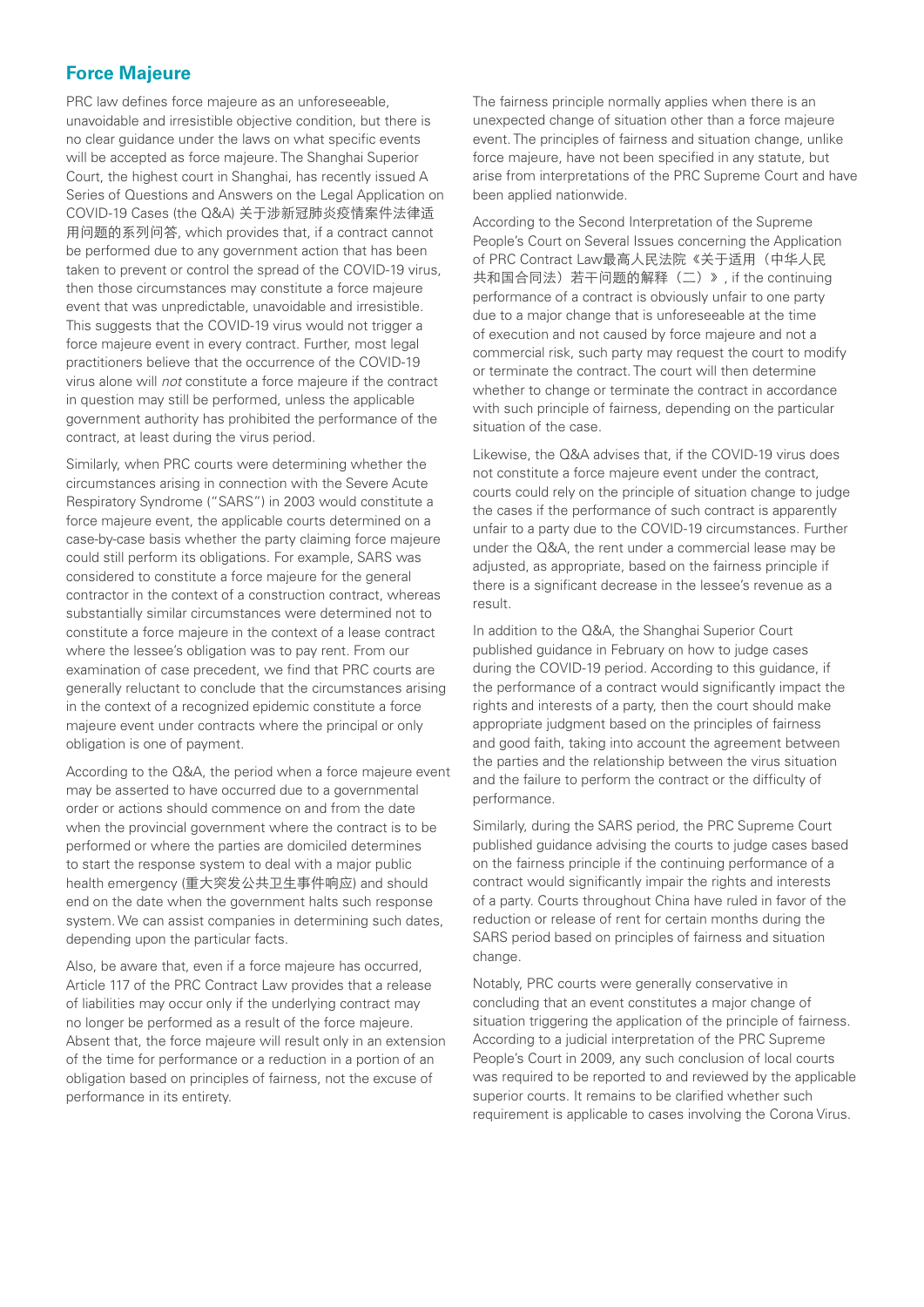## **Force Majeure**

PRC law defines force majeure as an unforeseeable, unavoidable and irresistible objective condition, but there is no clear guidance under the laws on what specific events will be accepted as force majeure. The Shanghai Superior Court, the highest court in Shanghai, has recently issued A Series of Questions and Answers on the Legal Application on COVID-19 Cases (the Q&A) 关于涉新冠肺炎疫情案件法律适 用问题的系列问答, which provides that, if a contract cannot be performed due to any government action that has been taken to prevent or control the spread of the COVID-19 virus, then those circumstances may constitute a force majeure event that was unpredictable, unavoidable and irresistible. This suggests that the COVID-19 virus would not trigger a force majeure event in every contract. Further, most legal practitioners believe that the occurrence of the COVID-19 virus alone will *not* constitute a force majeure if the contract in question may still be performed, unless the applicable government authority has prohibited the performance of the contract, at least during the virus period.

Similarly, when PRC courts were determining whether the circumstances arising in connection with the Severe Acute Respiratory Syndrome ("SARS") in 2003 would constitute a force majeure event, the applicable courts determined on a case-by-case basis whether the party claiming force majeure could still perform its obligations. For example, SARS was considered to constitute a force majeure for the general contractor in the context of a construction contract, whereas substantially similar circumstances were determined not to constitute a force majeure in the context of a lease contract where the lessee's obligation was to pay rent. From our examination of case precedent, we find that PRC courts are generally reluctant to conclude that the circumstances arising in the context of a recognized epidemic constitute a force majeure event under contracts where the principal or only obligation is one of payment.

According to the Q&A, the period when a force majeure event may be asserted to have occurred due to a governmental order or actions should commence on and from the date when the provincial government where the contract is to be performed or where the parties are domiciled determines to start the response system to deal with a major public health emergency (重大突发公共卫生事件响应) and should end on the date when the government halts such response system. We can assist companies in determining such dates, depending upon the particular facts.

Also, be aware that, even if a force majeure has occurred, Article 117 of the PRC Contract Law provides that a release of liabilities may occur only if the underlying contract may no longer be performed as a result of the force majeure. Absent that, the force majeure will result only in an extension of the time for performance or a reduction in a portion of an obligation based on principles of fairness, not the excuse of performance in its entirety.

The fairness principle normally applies when there is an unexpected change of situation other than a force majeure event. The principles of fairness and situation change, unlike force majeure, have not been specified in any statute, but arise from interpretations of the PRC Supreme Court and have been applied nationwide.

According to the Second Interpretation of the Supreme People's Court on Several Issues concerning the Application of PRC Contract Law最高人民法院《关于适用(中华人民 共和国合同法)若干问题的解释(二)》, if the continuing performance of a contract is obviously unfair to one party due to a major change that is unforeseeable at the time of execution and not caused by force majeure and not a commercial risk, such party may request the court to modify or terminate the contract. The court will then determine whether to change or terminate the contract in accordance with such principle of fairness, depending on the particular situation of the case.

Likewise, the Q&A advises that, if the COVID-19 virus does not constitute a force majeure event under the contract, courts could rely on the principle of situation change to judge the cases if the performance of such contract is apparently unfair to a party due to the COVID-19 circumstances. Further under the Q&A, the rent under a commercial lease may be adjusted, as appropriate, based on the fairness principle if there is a significant decrease in the lessee's revenue as a result.

In addition to the Q&A, the Shanghai Superior Court published guidance in February on how to judge cases during the COVID-19 period. According to this guidance, if the performance of a contract would significantly impact the rights and interests of a party, then the court should make appropriate judgment based on the principles of fairness and good faith, taking into account the agreement between the parties and the relationship between the virus situation and the failure to perform the contract or the difficulty of performance.

Similarly, during the SARS period, the PRC Supreme Court published guidance advising the courts to judge cases based on the fairness principle if the continuing performance of a contract would significantly impair the rights and interests of a party. Courts throughout China have ruled in favor of the reduction or release of rent for certain months during the SARS period based on principles of fairness and situation change.

Notably, PRC courts were generally conservative in concluding that an event constitutes a major change of situation triggering the application of the principle of fairness. According to a judicial interpretation of the PRC Supreme People's Court in 2009, any such conclusion of local courts was required to be reported to and reviewed by the applicable superior courts. It remains to be clarified whether such requirement is applicable to cases involving the Corona Virus.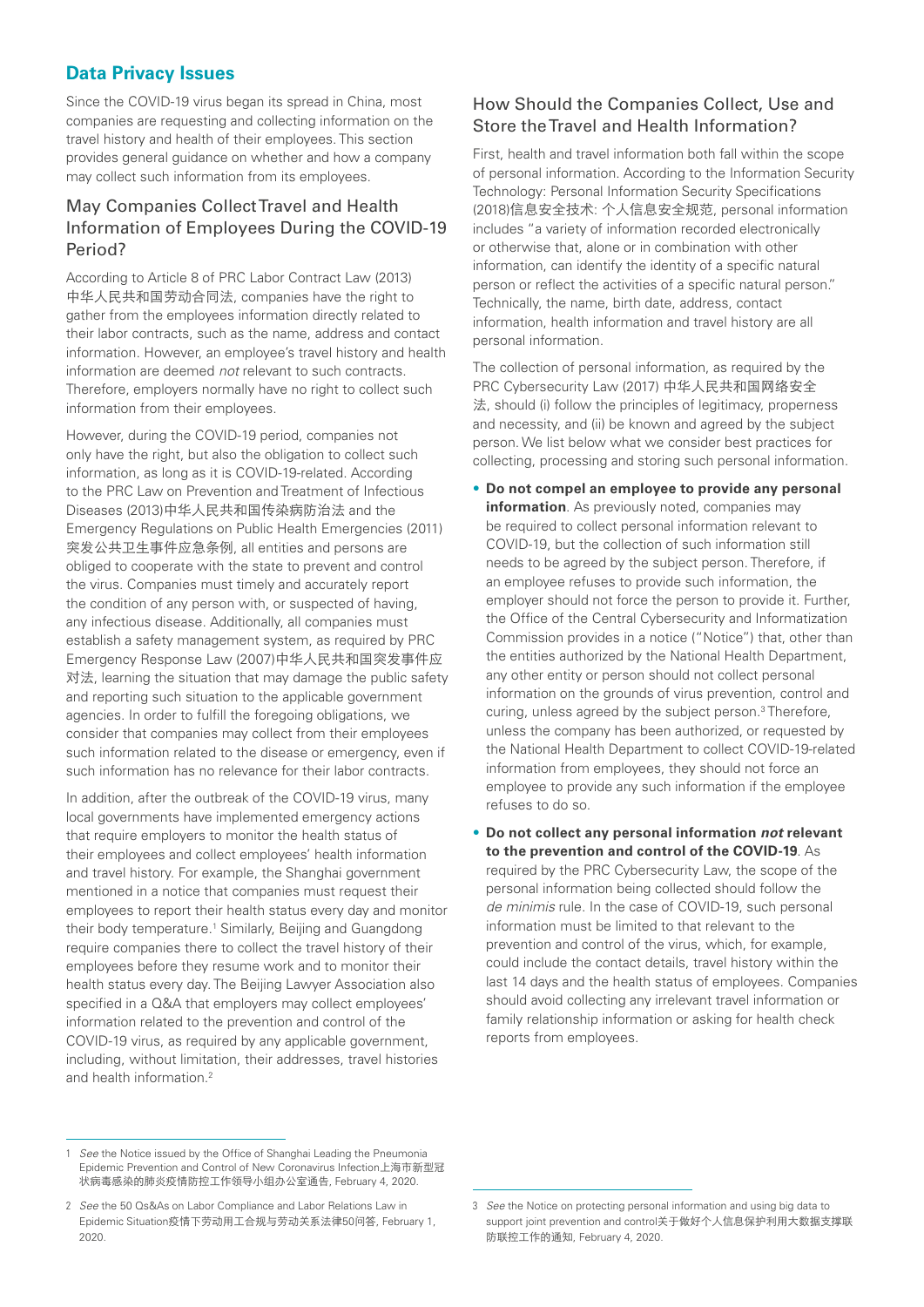## **Data Privacy Issues**

Since the COVID-19 virus began its spread in China, most companies are requesting and collecting information on the travel history and health of their employees. This section provides general guidance on whether and how a company may collect such information from its employees.

## May Companies Collect Travel and Health Information of Employees During the COVID-19 Period?

According to Article 8 of PRC Labor Contract Law (2013) 中华人民共和国劳动合同法, companies have the right to gather from the employees information directly related to their labor contracts, such as the name, address and contact information. However, an employee's travel history and health information are deemed *not* relevant to such contracts. Therefore, employers normally have no right to collect such information from their employees.

However, during the COVID-19 period, companies not only have the right, but also the obligation to collect such information, as long as it is COVID-19-related. According to the PRC Law on Prevention and Treatment of Infectious Diseases (2013)中华人民共和国传染病防治法 and the Emergency Regulations on Public Health Emergencies (2011) 突发公共卫生事件应急条例, all entities and persons are obliged to cooperate with the state to prevent and control the virus. Companies must timely and accurately report the condition of any person with, or suspected of having, any infectious disease. Additionally, all companies must establish a safety management system, as required by PRC Emergency Response Law (2007)中华人民共和国突发事件应 对法, learning the situation that may damage the public safety and reporting such situation to the applicable government agencies. In order to fulfill the foregoing obligations, we consider that companies may collect from their employees such information related to the disease or emergency, even if such information has no relevance for their labor contracts.

In addition, after the outbreak of the COVID-19 virus, many local governments have implemented emergency actions that require employers to monitor the health status of their employees and collect employees' health information and travel history. For example, the Shanghai government mentioned in a notice that companies must request their employees to report their health status every day and monitor their body temperature.<sup>1</sup> Similarly, Beijing and Guangdong require companies there to collect the travel history of their employees before they resume work and to monitor their health status every day. The Beijing Lawyer Association also specified in a Q&A that employers may collect employees' information related to the prevention and control of the COVID-19 virus, as required by any applicable government, including, without limitation, their addresses, travel histories and health information.2

## How Should the Companies Collect, Use and Store the Travel and Health Information?

First, health and travel information both fall within the scope of personal information. According to the Information Security Technology: Personal Information Security Specifications (2018)信息安全技术: 个人信息安全规范, personal information includes "a variety of information recorded electronically or otherwise that, alone or in combination with other information, can identify the identity of a specific natural person or reflect the activities of a specific natural person." Technically, the name, birth date, address, contact information, health information and travel history are all personal information.

The collection of personal information, as required by the PRC Cybersecurity Law (2017) 中华人民共和国网络安全 法, should (i) follow the principles of legitimacy, properness and necessity, and (ii) be known and agreed by the subject person. We list below what we consider best practices for collecting, processing and storing such personal information.

- **Do not compel an employee to provide any personal information**. As previously noted, companies may be required to collect personal information relevant to COVID-19, but the collection of such information still needs to be agreed by the subject person. Therefore, if an employee refuses to provide such information, the employer should not force the person to provide it. Further, the Office of the Central Cybersecurity and Informatization Commission provides in a notice ("Notice") that, other than the entities authorized by the National Health Department, any other entity or person should not collect personal information on the grounds of virus prevention, control and curing, unless agreed by the subject person.3 Therefore, unless the company has been authorized, or requested by the National Health Department to collect COVID-19-related information from employees, they should not force an employee to provide any such information if the employee refuses to do so.
- **Do not collect any personal information** *not* **relevant to the prevention and control of the COVID-19**. As required by the PRC Cybersecurity Law, the scope of the personal information being collected should follow the *de minimis* rule. In the case of COVID-19, such personal information must be limited to that relevant to the prevention and control of the virus, which, for example, could include the contact details, travel history within the last 14 days and the health status of employees. Companies should avoid collecting any irrelevant travel information or family relationship information or asking for health check reports from employees.

<sup>1</sup> *See* the Notice issued by the Office of Shanghai Leading the Pneumonia Epidemic Prevention and Control of New Coronavirus Infection上海市新型冠 状病毒感染的肺炎疫情防控工作领导小组办公室通告, February 4, 2020.

<sup>2</sup> *See* the 50 Qs&As on Labor Compliance and Labor Relations Law in Epidemic Situation疫情下劳动用工合规与劳动关系法律50问答, February 1, 2020.

<sup>3</sup> *See* the Notice on protecting personal information and using big data to support joint prevention and control关于做好个人信息保护利用大数据支撑联 防联控工作的通知, February 4, 2020.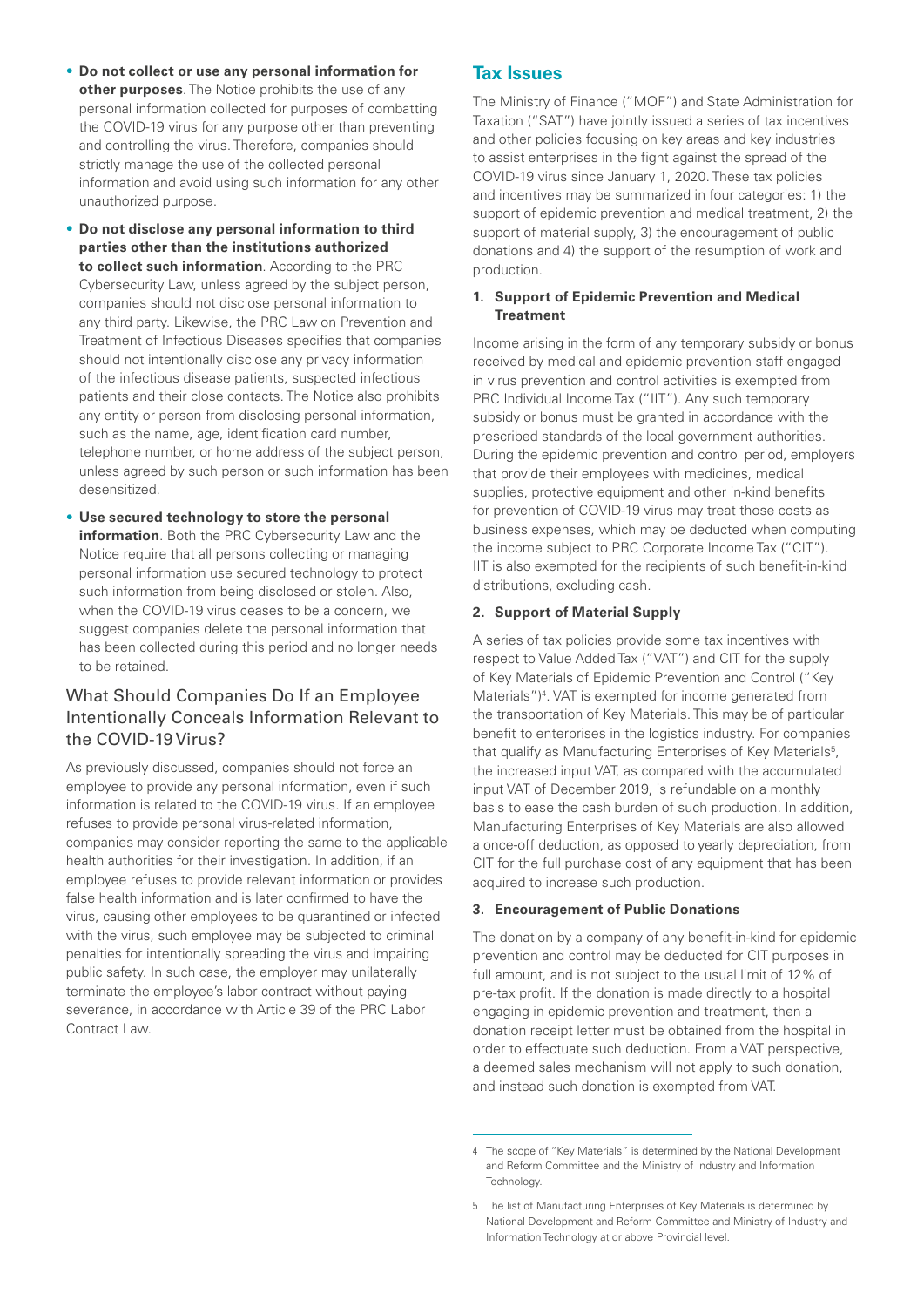- **Do not collect or use any personal information for other purposes**. The Notice prohibits the use of any personal information collected for purposes of combatting the COVID-19 virus for any purpose other than preventing and controlling the virus. Therefore, companies should strictly manage the use of the collected personal information and avoid using such information for any other unauthorized purpose.
- **Do not disclose any personal information to third parties other than the institutions authorized to collect such information**. According to the PRC Cybersecurity Law, unless agreed by the subject person, companies should not disclose personal information to any third party. Likewise, the PRC Law on Prevention and Treatment of Infectious Diseases specifies that companies should not intentionally disclose any privacy information of the infectious disease patients, suspected infectious patients and their close contacts. The Notice also prohibits any entity or person from disclosing personal information, such as the name, age, identification card number, telephone number, or home address of the subject person, unless agreed by such person or such information has been desensitized.
- **Use secured technology to store the personal information**. Both the PRC Cybersecurity Law and the Notice require that all persons collecting or managing personal information use secured technology to protect such information from being disclosed or stolen. Also, when the COVID-19 virus ceases to be a concern, we suggest companies delete the personal information that has been collected during this period and no longer needs to be retained.

#### What Should Companies Do If an Employee Intentionally Conceals Information Relevant to the COVID-19 Virus?

As previously discussed, companies should not force an employee to provide any personal information, even if such information is related to the COVID-19 virus. If an employee refuses to provide personal virus-related information, companies may consider reporting the same to the applicable health authorities for their investigation. In addition, if an employee refuses to provide relevant information or provides false health information and is later confirmed to have the virus, causing other employees to be quarantined or infected with the virus, such employee may be subjected to criminal penalties for intentionally spreading the virus and impairing public safety. In such case, the employer may unilaterally terminate the employee's labor contract without paying severance, in accordance with Article 39 of the PRC Labor Contract Law.

## **Tax Issues**

The Ministry of Finance ("MOF") and State Administration for Taxation ("SAT") have jointly issued a series of tax incentives and other policies focusing on key areas and key industries to assist enterprises in the fight against the spread of the COVID-19 virus since January 1, 2020. These tax policies and incentives may be summarized in four categories: 1) the support of epidemic prevention and medical treatment, 2) the support of material supply, 3) the encouragement of public donations and 4) the support of the resumption of work and production.

#### **1. Support of Epidemic Prevention and Medical Treatment**

Income arising in the form of any temporary subsidy or bonus received by medical and epidemic prevention staff engaged in virus prevention and control activities is exempted from PRC Individual Income Tax ("IIT"). Any such temporary subsidy or bonus must be granted in accordance with the prescribed standards of the local government authorities. During the epidemic prevention and control period, employers that provide their employees with medicines, medical supplies, protective equipment and other in-kind benefits for prevention of COVID-19 virus may treat those costs as business expenses, which may be deducted when computing the income subject to PRC Corporate Income Tax ("CIT"). IIT is also exempted for the recipients of such benefit-in-kind distributions, excluding cash.

#### **2. Support of Material Supply**

A series of tax policies provide some tax incentives with respect to Value Added Tax ("VAT") and CIT for the supply of Key Materials of Epidemic Prevention and Control ("Key Materials")<sup>4</sup>. VAT is exempted for income generated from the transportation of Key Materials. This may be of particular benefit to enterprises in the logistics industry. For companies that qualify as Manufacturing Enterprises of Key Materials<sup>5</sup>, the increased input VAT, as compared with the accumulated input VAT of December 2019, is refundable on a monthly basis to ease the cash burden of such production. In addition, Manufacturing Enterprises of Key Materials are also allowed a once-off deduction, as opposed to yearly depreciation, from CIT for the full purchase cost of any equipment that has been acquired to increase such production.

#### **3. Encouragement of Public Donations**

The donation by a company of any benefit-in-kind for epidemic prevention and control may be deducted for CIT purposes in full amount, and is not subject to the usual limit of 12% of pre-tax profit. If the donation is made directly to a hospital engaging in epidemic prevention and treatment, then a donation receipt letter must be obtained from the hospital in order to effectuate such deduction. From a VAT perspective, a deemed sales mechanism will not apply to such donation, and instead such donation is exempted from VAT.

<sup>4</sup> The scope of "Key Materials" is determined by the National Development and Reform Committee and the Ministry of Industry and Information Technology.

<sup>5</sup> The list of Manufacturing Enterprises of Key Materials is determined by National Development and Reform Committee and Ministry of Industry and Information Technology at or above Provincial level.